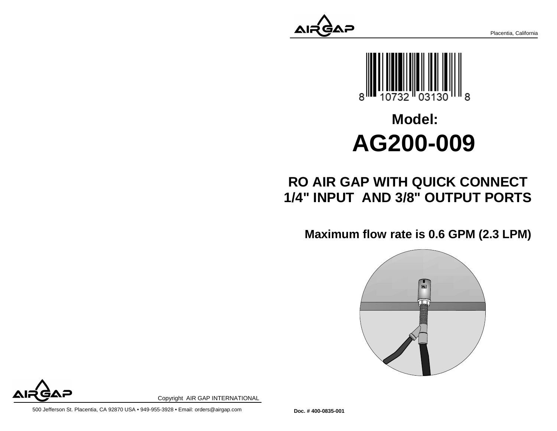Placentia, California



# **Model:AG200-009**

## **RO AIR GAP WITH QUICK CONNECT1/4" INPUT AND 3/8" OUTPUT PORTS**

**Maximum flow rate is 0.6 GPM (2.3 LPM)**





Copyright AIR GAP INTERNATIONAL

500 Jefferson St. Placentia, CA 92870 USA • 949-955-3928 • Email: orders@airgap.com